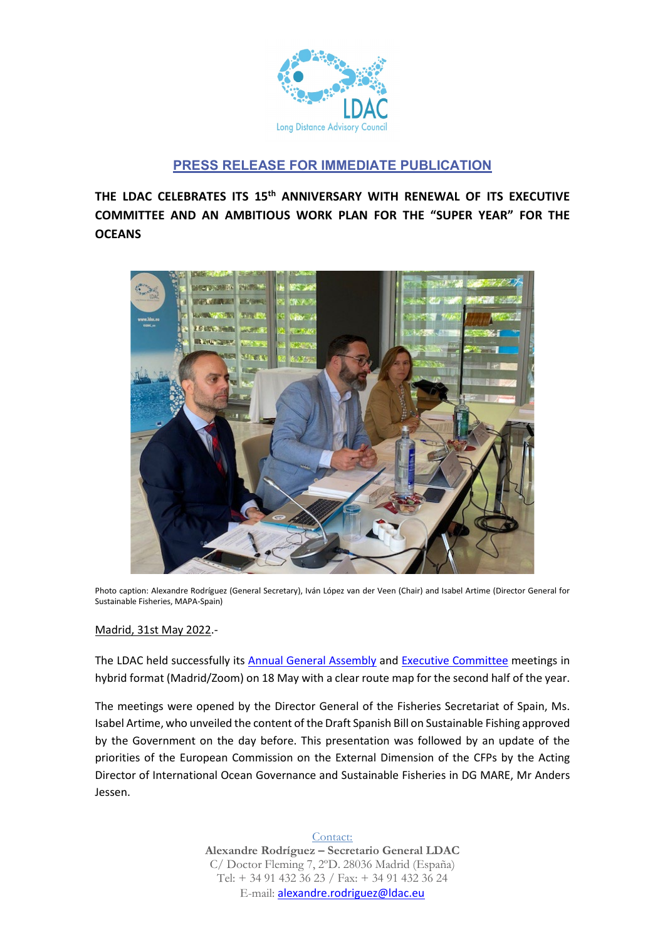

# **PRESS RELEASE FOR IMMEDIATE PUBLICATION**

**THE LDAC CELEBRATES ITS 15th ANNIVERSARY WITH RENEWAL OF ITS EXECUTIVE COMMITTEE AND AN AMBITIOUS WORK PLAN FOR THE "SUPER YEAR" FOR THE OCEANS**



Photo caption: Alexandre Rodríguez (General Secretary), Iván López van der Veen (Chair) and Isabel Artime (Director General for Sustainable Fisheries, MAPA-Spain)

## Madrid, 31st May 2022.-

The LDAC held successfully its [Annual General Assembly](https://ldac.eu/en/meetings/archive/general-assembly-18-05-2022) and [Executive Committee](https://ldac.eu/en/meetings/archive/general-assembly-18-05-2022) meetings in hybrid format (Madrid/Zoom) on 18 May with a clear route map for the second half of the year.

The meetings were opened by the Director General of the Fisheries Secretariat of Spain, Ms. Isabel Artime, who unveiled the content of the Draft Spanish Bill on Sustainable Fishing approved by the Government on the day before. This presentation was followed by an update of the priorities of the European Commission on the External Dimension of the CFPs by the Acting Director of International Ocean Governance and Sustainable Fisheries in DG MARE, Mr Anders Jessen.

> Contact: **Alexandre Rodríguez – Secretario General LDAC** C/ Doctor Fleming 7, 2ºD. 28036 Madrid (España) Tel: + 34 91 432 36 23 / Fax: + 34 91 432 36 24 E-mail: [alexandre.rodriguez@ldac.eu](mailto:alexandre.rodriguez@ldac.eu)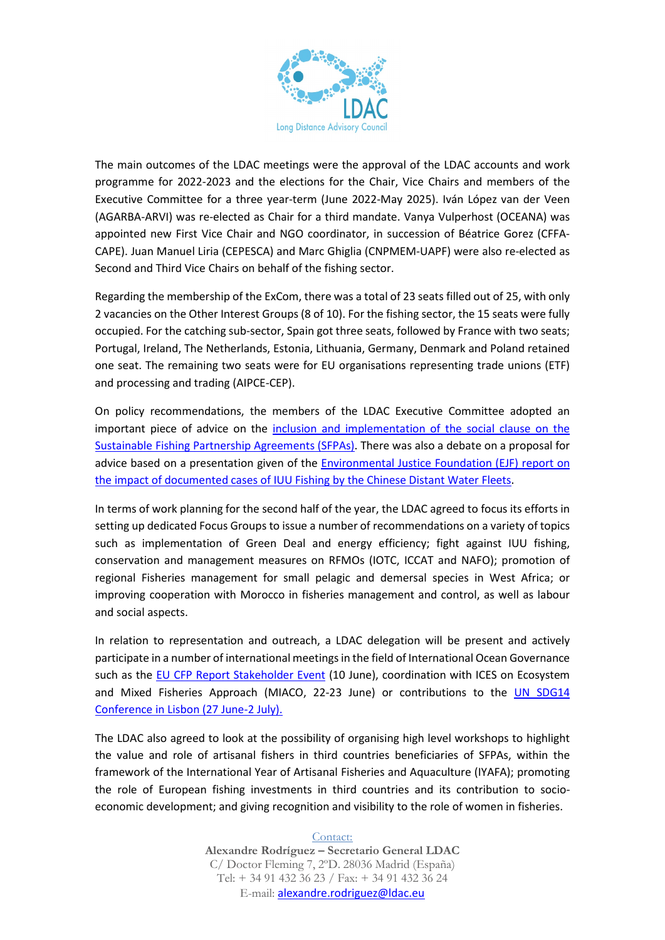

The main outcomes of the LDAC meetings were the approval of the LDAC accounts and work programme for 2022-2023 and the elections for the Chair, Vice Chairs and members of the Executive Committee for a three year-term (June 2022-May 2025). Iván López van der Veen (AGARBA-ARVI) was re-elected as Chair for a third mandate. Vanya Vulperhost (OCEANA) was appointed new First Vice Chair and NGO coordinator, in succession of Béatrice Gorez (CFFA-CAPE). Juan Manuel Liria (CEPESCA) and Marc Ghiglia (CNPMEM-UAPF) were also re-elected as Second and Third Vice Chairs on behalf of the fishing sector.

Regarding the membership of the ExCom, there was a total of 23 seats filled out of 25, with only 2 vacancies on the Other Interest Groups (8 of 10). For the fishing sector, the 15 seats were fully occupied. For the catching sub-sector, Spain got three seats, followed by France with two seats; Portugal, Ireland, The Netherlands, Estonia, Lithuania, Germany, Denmark and Poland retained one seat. The remaining two seats were for EU organisations representing trade unions (ETF) and processing and trading (AIPCE-CEP).

On policy recommendations, the members of the LDAC Executive Committee adopted an important piece of advice on the [inclusion and implementation](https://ldac.eu/images/EN_LDAC_Advice_Policy_Recommendations_Social_Clause_SFPAs_27May2022.pdf) of the social clause on the [Sustainable Fishing Partnership Agreements \(SFPAs\).](https://ldac.eu/images/EN_LDAC_Advice_Policy_Recommendations_Social_Clause_SFPAs_27May2022.pdf) There was also a debate on a proposal for advice based on a presentation given of the [Environmental Justice Foundation \(EJF\)](https://ejfoundation.org/reports/the-ever-widening-net-mapping-the-scale-nature-and-corporate-structures-of-illegal-unreported-and-unregulated-fishing-by-the-chinese-distant-water-fleet) report on [the impact of documented cases of IUU Fishing by the Chinese Distant Water Fleets.](https://ejfoundation.org/reports/the-ever-widening-net-mapping-the-scale-nature-and-corporate-structures-of-illegal-unreported-and-unregulated-fishing-by-the-chinese-distant-water-fleet)

In terms of work planning for the second half of the year, the LDAC agreed to focus its efforts in setting up dedicated Focus Groups to issue a number of recommendations on a variety of topics such as implementation of Green Deal and energy efficiency; fight against IUU fishing, conservation and management measures on RFMOs (IOTC, ICCAT and NAFO); promotion of regional Fisheries management for small pelagic and demersal species in West Africa; or improving cooperation with Morocco in fisheries management and control, as well as labour and social aspects.

In relation to representation and outreach, a LDAC delegation will be present and actively participate in a number of international meetings in the field of International Ocean Governance such as the [EU CFP Report Stakeholder Event](https://ec.europa.eu/oceans-and-fisheries/news/register-now-stakeholder-event-common-fisheries-policy-10-june-2022-2022-04-20_es) (10 June), coordination with ICES on Ecosystem and Mixed Fisheries Approach (MIACO, 22-23 June) or contributions to the UN SDG14 [Conference in Lisbon \(27 June-2 July\).](https://www.un.org/en/conferences/ocean2022)

The LDAC also agreed to look at the possibility of organising high level workshops to highlight the value and role of artisanal fishers in third countries beneficiaries of SFPAs, within the framework of the International Year of Artisanal Fisheries and Aquaculture (IYAFA); promoting the role of European fishing investments in third countries and its contribution to socioeconomic development; and giving recognition and visibility to the role of women in fisheries.

### Contact:

**Alexandre Rodríguez – Secretario General LDAC** C/ Doctor Fleming 7, 2ºD. 28036 Madrid (España) Tel: + 34 91 432 36 23 / Fax: + 34 91 432 36 24 E-mail: [alexandre.rodriguez@ldac.eu](mailto:alexandre.rodriguez@ldac.eu)